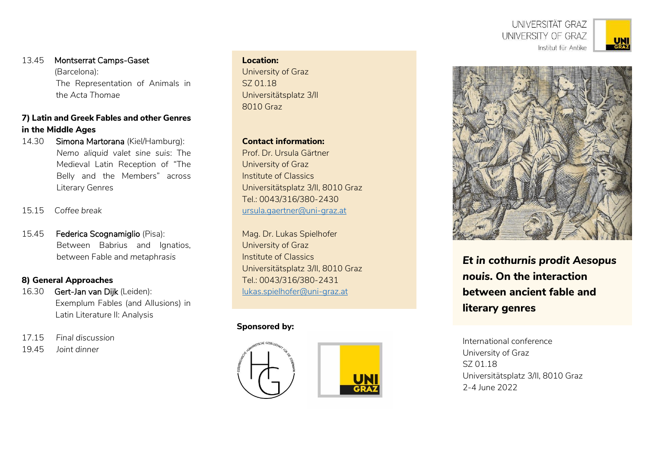UNIVERSITÄT GRAZ UNIVERSITY OF GRAZ Institut für Antike



13.45 Montserrat Camps-Gaset (Barcelona): The Representation of Animals in the *Acta Thomae*

# **7) Latin and Greek Fables and other Genres in the Middle Ages**

- 14.30 Simona Martorana (Kiel/Hamburg): *Nemo aliquid valet sine suis*: The Medieval Latin Reception of "The Belly and the Members" across Literary Genres
- 15.15 *Coffee break*
- 15.45 Federica Scognamiglio (Pisa): Between Babrius and Ignatios, between Fable and *metaphrasis*

## **8) General Approaches**

- 16.30 Gert-Jan van Dijk (Leiden): Exemplum Fables (and Allusions) in Latin Literature II: Analysis
- 17.15 *Final discussion*
- 19.45 *Joint dinner*

### **Location:**

University of Graz SZ 01.18 Universitätsplatz 3/II 8010 Graz

**Contact information:**

Prof. Dr. Ursula Gärtner University of Graz Institute of Classics Universitätsplatz 3/II, 8010 Graz Tel.: 0043/316/380-2430 [ursula.gaertner@uni-graz.at](mailto:ursula.gaertner@uni-graz.at)

Mag. Dr. Lukas Spielhofer University of Graz Institute of Classics Universitätsplatz 3/II, 8010 Graz Tel.: 0043/316/380-2431 [lukas.spielhofer@uni-graz.at](mailto:lukas.spielhofer@uni-graz.at)

## **Sponsored by:**





*Et in cothurnis prodit Aesopus nouis***. On the interaction between ancient fable and literary genres**

International conference University of Graz SZ 01.18 Universitätsplatz 3/II, 8010 Graz 2-4 June 2022